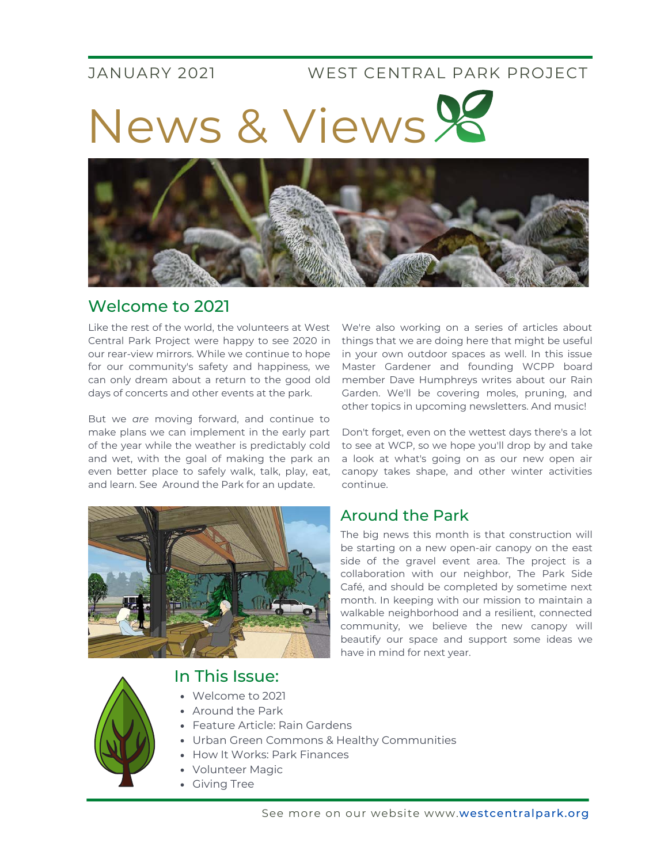#### JANUARY 2021 WEST CENTRAL PARK PROJECT

News & Views



## Welcome to 2021

Like the rest of the world, the volunteers at West Central Park Project were happy to see 2020 in our rear-view mirrors. While we continue to hope for our community's safety and happiness, we can only dream about a return to the good old days of concerts and other events at the park.

But we *are* moving forward, and continue to make plans we can implement in the early part of the year while the weather is predictably cold and wet, with the goal of making the park an even better place to safely walk, talk, play, eat, and learn. See Around the Park for an update.



#### In This Issue:

- Welcome to 2021
- Around the Park
- Feature Article: Rain Gardens
- Urban Green Commons & Healthy Communities
- How It Works: Park Finances
- Volunteer Magic
- Giving Tree

We're also working on a series of articles about things that we are doing here that might be useful in your own outdoor spaces as well. In this issue Master Gardener and founding WCPP board member Dave Humphreys writes about our Rain Garden. We'll be covering moles, pruning, and other topics in upcoming newsletters. And music!

Don't forget, even on the wettest days there's a lot to see at WCP, so we hope you'll drop by and take a look at what's going on as our new open air canopy takes shape, and other winter activities continue.

### Around the Park

The big news this month is that construction will be starting on a new open-air canopy on the east side of the gravel event area. The project is a collaboration with our neighbor, The Park Side Café, and should be completed by sometime next month. In keeping with our mission to maintain a walkable neighborhood and a resilient, connected community, we believe the new canopy will beautify our space and support some ideas we have in mind for next year.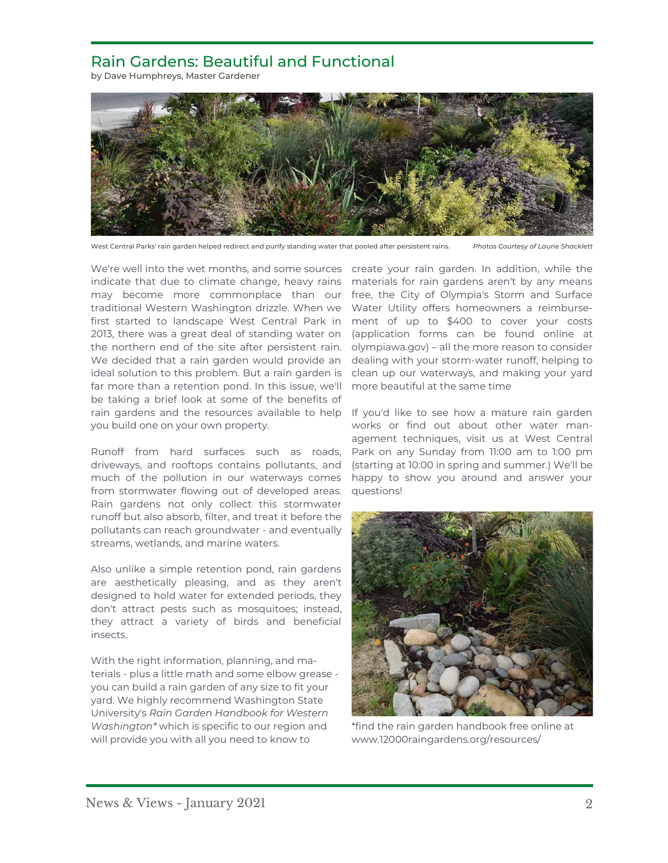#### Rain Gardens: Beautiful and Functional

by Dave Humphreys, Master Gardener



West Central Parks' rain garden helped redirect and purify standing water that pooled after persistent rains. *Photos Courtesy of Laurie Shacklett*

We're well into the wet months, and some sources create your rain garden. In addition, while the indicate that due to climate change, heavy rains materials for rain gardens aren't by any means may become more commonplace than our free, the City of Olympia's Storm and Surface traditional Western Washington drizzle. When we first started to landscape West Central Park in 2013, there was a great deal of standing water on the northern end of the site after persistent rain. olympiawa.gov) – all the more reason to consider We decided that a rain garden would provide an ideal solution to this problem. But a rain garden is far more than a retention pond. In this issue, we'll be taking a brief look at some of the benefits of rain gardens and the resources available to help If you'd like to see how a mature rain garden you build one on your own property.

Runoff from hard surfaces such as roads, driveways, and rooftops contains pollutants, and much of the pollution in our waterways comes from stormwater flowing out of developed areas. Rain gardens not only collect this stormwater runoff but also absorb, filter, and treat it before the pollutants can reach groundwater - and eventually streams, wetlands, and marine waters.

Also unlike a simple retention pond, rain gardens are aesthetically pleasing, and as they aren't designed to hold water for extended periods, they don't attract pests such as mosquitoes; instead, they attract a variety of birds and beneficial insects.

With the right information, planning, and materials - plus a little math and some elbow grease you can build a rain garden of any size to fit your yard. We highly recommend Washington State University's *Rain Garden Handbook for Western Washington\** which is specific to our region and will provide you with all you need to know to

Water Utility offers homeowners a reimbursement of up to \$400 to cover your costs (application forms can be found online at dealing with your storm-water runoff, helping to clean up our waterways, and making your yard more beautiful at the same time

works or find out about other water management techniques, visit us at West Central Park on any Sunday from 11:00 am to 1:00 pm (starting at 10:00 in spring and summer.) We'll be happy to show you around and answer your questions!



\*find the rain garden handbook free online at www.12000raingardens.org/resources/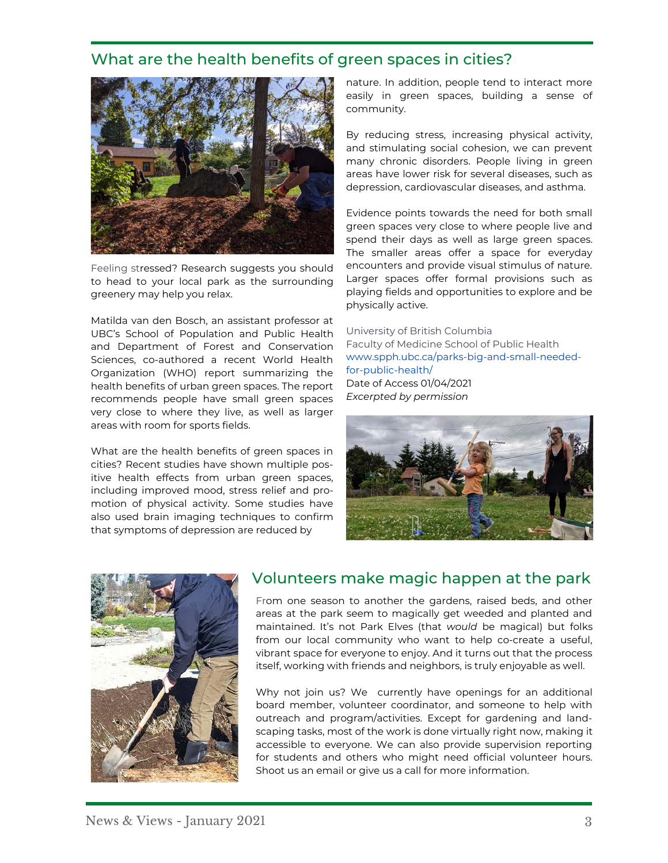#### What are the health benefits of green spaces in cities?



Feeling stressed? Research suggests you should to head to your local park as the surrounding greenery may help you relax.

Matilda van den Bosch, an assistant professor at UBC's School of Population and Public Health and Department of Forest and Conservation Sciences, co-authored a recent World Health Organization (WHO) report summarizing the health benefits of urban green spaces. The report recommends people have small green spaces very close to where they live, as well as larger areas with room for sports fields.

What are the health benefits of green spaces in cities? Recent studies have shown multiple positive health effects from urban green spaces, including improved mood, stress relief and promotion of physical activity. Some studies have also used brain imaging techniques to confirm that symptoms of depression are reduced by

nature. In addition, people tend to interact more easily in green spaces, building a sense of community.

By reducing stress, increasing physical activity, and stimulating social cohesion, we can prevent many chronic disorders. People living in green areas have lower risk for several diseases, such as depression, cardiovascular diseases, and asthma.

Evidence points towards the need for both small green spaces very close to where people live and spend their days as well as large green spaces. The smaller areas offer a space for everyday encounters and provide visual stimulus of nature. Larger spaces offer formal provisions such as playing fields and opportunities to explore and be physically active.

University of British Columbia Faculty of Medicine School of Public Health www.spph.ubc.ca/parks-big-and-small-neededfor-public-health/ Date of Access 01/04/2021 *Excerpted by permission*





# Volunteers make magic happen at the park

From one season to another the gardens, raised beds, and other areas at the park seem to magically get weeded and planted and maintained. It's not Park Elves (that *would* be magical) but folks from our local community who want to help co-create a useful, vibrant space for everyone to enjoy. And it turns out that the process itself, working with friends and neighbors, is truly enjoyable as well.

Why not join us? We currently have openings for an additional board member, volunteer coordinator, and someone to help with outreach and program/activities. Except for gardening and landscaping tasks, most of the work is done virtually right now, making it accessible to everyone. We can also provide supervision reporting for students and others who might need official volunteer hours. Shoot us an email or give us a call for more information.